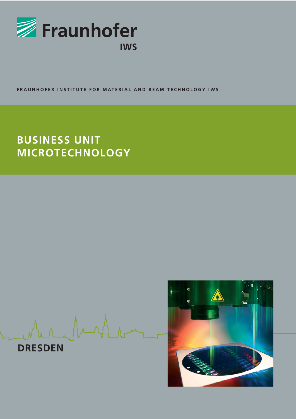

**FRAUNHOFER INSTITUTE FOR MATERIAL AND BEAM TECHNOLOGY IWS**

# **BUSINESS UNIT MICROTECHNOLOGY**

Ar Angle

**DRESDEN**

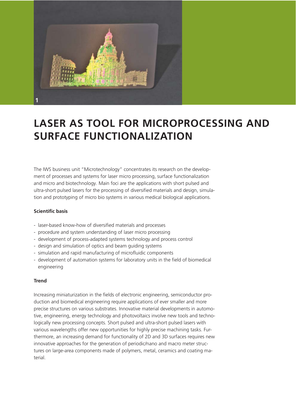

## **LASER AS TOOL FOR MICROPROCESSING AND SURFACE FUNCTIONALIZATION**

The IWS business unit "Microtechnology" concentrates its research on the development of processes and systems for laser micro processing, surface functionalization and micro and biotechnology. Main foci are the applications with short pulsed and ultra-short pulsed lasers for the processing of diversified materials and design, simulation and prototyping of micro bio systems in various medical biological applications.

### **Scientific basis**

- laser-based know-how of diversified materials and processes
- procedure and system understanding of laser micro processing
- development of process-adapted systems technology and process control
- design and simulation of optics and beam guiding systems
- simulation and rapid manufacturing of microfluidic components
- development of automation systems for laboratory units in the field of biomedical engineering

### **Trend**

Increasing miniaturization in the fields of electronic engineering, semiconductor production and biomedical engineering require applications of ever smaller and more precise structures on various substrates. Innovative material developments in automotive, engineering, energy technology and photovoltaics involve new tools and technologically new processing concepts. Short pulsed and ultra-short pulsed lasers with various wavelengths offer new opportunities for highly precise machining tasks. Furthermore, an increasing demand for functionality of 2D and 3D surfaces requires new innovative approaches for the generation of periodic/nano and macro meter structures on large-area components made of polymers, metal, ceramics and coating material.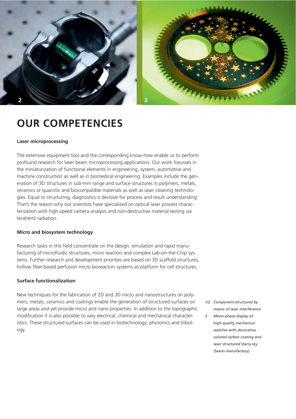



### **OUR COMPETENCIES**

#### **Laser microprocessing**

The extensive equipment tool and the corresponding know-how enable us to perform profound research for laser beam microprocessing applications. Our work focusses in the miniaturization of functional elements in engineering, system, automotive and machine construction as well as in biomedical engineering. Examples include the generation of 3D structures in sub-mm range and surface structures in polymers, metals, ceramics or quarzitic and biocompatible materials as well as laser cleaning technologies. Equal to structuring, diagnostics is decisive for process and result understanding. That's the reason why our scientists have specialized on optical laser process characterization with high-speed camera analysis and non-destructive material testing via terahertz radiation.

### **Micro and biosystem technology**

Research tasks in this field concentrate on the design, simulation and rapid manufacturing of microfluidic structures, micro reactors and complex Lab-on-the-Chip systems. Further research and development priorities are based on 3D scaffold structures, hollow fiber-based perfusion micro bioreactors systems as platform for cell structures.

### **Surface functionalization**

New techniques for the fabrication of 2D and 3D micro and nanostructures on polymers, metals, ceramics and coatings enable the generation of structured surfaces on large areas and yet provide micro and nano properties. In addition to the topographic modification it is also possible to vary electrical, chemical and mechanical characteristics. These structured surfaces can be used in biotechnology, photonics and tribology.

- *1/2 Component structured by means of laser interference*
- *3 Moon-phase display of high-quality mechanical watches with decorative, colored carbon coating and laser structured starry sky (Saxon manufactory)*